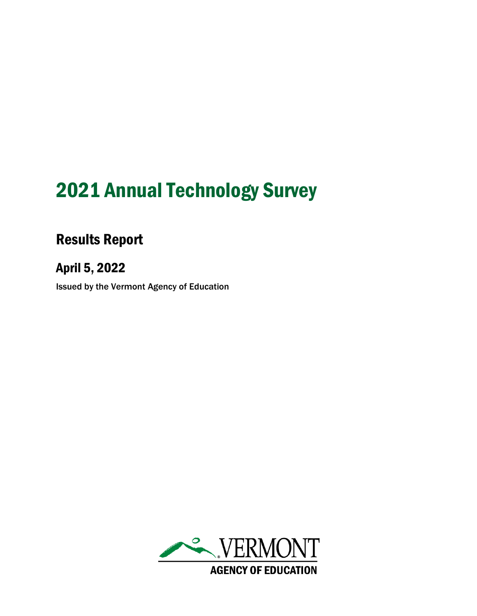# 2021 Annual Technology Survey

# Results Report

# April 5, 2022

Issued by the Vermont Agency of Education

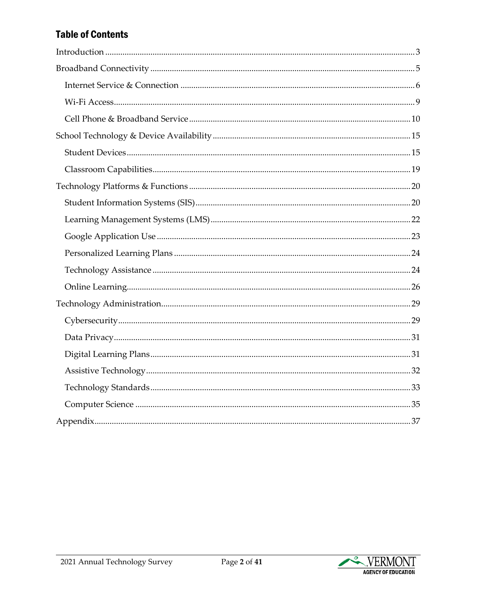# **Table of Contents**

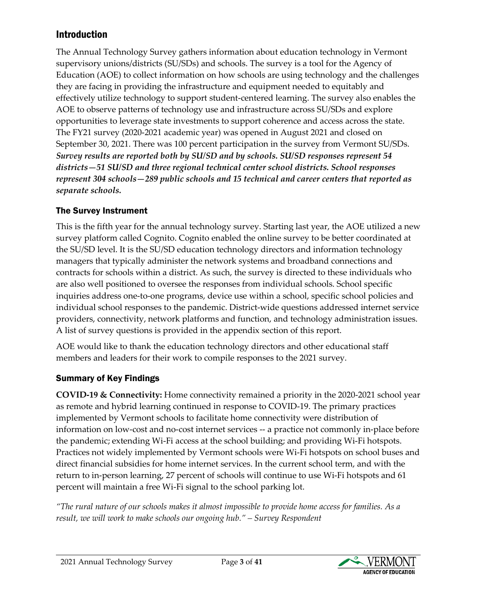# <span id="page-2-0"></span>Introduction

The Annual Technology Survey gathers information about education technology in Vermont supervisory unions/districts (SU/SDs) and schools. The survey is a tool for the Agency of Education (AOE) to collect information on how schools are using technology and the challenges they are facing in providing the infrastructure and equipment needed to equitably and effectively utilize technology to support student-centered learning. The survey also enables the AOE to observe patterns of technology use and infrastructure across SU/SDs and explore opportunities to leverage state investments to support coherence and access across the state. The FY21 survey (2020-2021 academic year) was opened in August 2021 and closed on September 30, 2021. There was 100 percent participation in the survey from Vermont SU/SDs. *Survey results are reported both by SU/SD and by schools. SU/SD responses represent 54 districts—51 SU/SD and three regional technical center school districts. School responses represent 304 schools—289 public schools and 15 technical and career centers that reported as separate schools.*

# The Survey Instrument

This is the fifth year for the annual technology survey. Starting last year, the AOE utilized a new survey platform called Cognito. Cognito enabled the online survey to be better coordinated at the SU/SD level. It is the SU/SD education technology directors and information technology managers that typically administer the network systems and broadband connections and contracts for schools within a district. As such, the survey is directed to these individuals who are also well positioned to oversee the responses from individual schools. School specific inquiries address one-to-one programs, device use within a school, specific school policies and individual school responses to the pandemic. District-wide questions addressed internet service providers, connectivity, network platforms and function, and technology administration issues. A list of survey questions is provided in the appendix section of this report.

AOE would like to thank the education technology directors and other educational staff members and leaders for their work to compile responses to the 2021 survey.

# Summary of Key Findings

**COVID-19 & Connectivity:** Home connectivity remained a priority in the 2020-2021 school year as remote and hybrid learning continued in response to COVID-19. The primary practices implemented by Vermont schools to facilitate home connectivity were distribution of information on low-cost and no-cost internet services -- a practice not commonly in-place before the pandemic; extending Wi-Fi access at the school building; and providing Wi-Fi hotspots. Practices not widely implemented by Vermont schools were Wi-Fi hotspots on school buses and direct financial subsidies for home internet services. In the current school term, and with the return to in-person learning, 27 percent of schools will continue to use Wi-Fi hotspots and 61 percent will maintain a free Wi-Fi signal to the school parking lot.

*"The rural nature of our schools makes it almost impossible to provide home access for families. As a result, we will work to make schools our ongoing hub." – Survey Respondent*

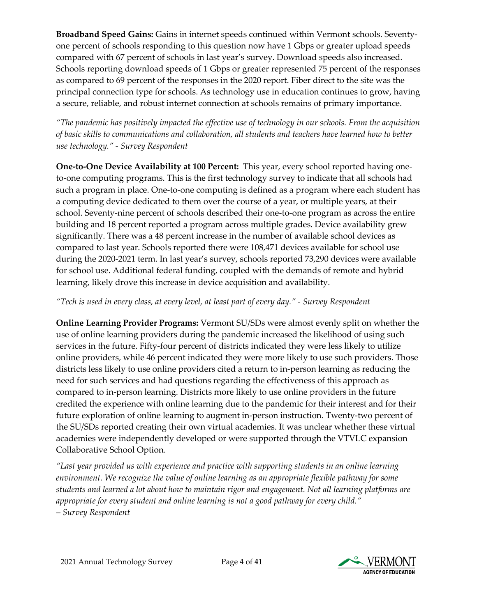**Broadband Speed Gains:** Gains in internet speeds continued within Vermont schools. Seventyone percent of schools responding to this question now have 1 Gbps or greater upload speeds compared with 67 percent of schools in last year's survey. Download speeds also increased. Schools reporting download speeds of 1 Gbps or greater represented 75 percent of the responses as compared to 69 percent of the responses in the 2020 report. Fiber direct to the site was the principal connection type for schools. As technology use in education continues to grow, having a secure, reliable, and robust internet connection at schools remains of primary importance.

*"The pandemic has positively impacted the effective use of technology in our schools. From the acquisition of basic skills to communications and collaboration, all students and teachers have learned how to better use technology." - Survey Respondent*

**One-to-One Device Availability at 100 Percent:** This year, every school reported having oneto-one computing programs. This is the first technology survey to indicate that all schools had such a program in place. One-to-one computing is defined as a program where each student has a computing device dedicated to them over the course of a year, or multiple years, at their school. Seventy-nine percent of schools described their one-to-one program as across the entire building and 18 percent reported a program across multiple grades. Device availability grew significantly. There was a 48 percent increase in the number of available school devices as compared to last year. Schools reported there were 108,471 devices available for school use during the 2020-2021 term. In last year's survey, schools reported 73,290 devices were available for school use. Additional federal funding, coupled with the demands of remote and hybrid learning, likely drove this increase in device acquisition and availability.

#### *"Tech is used in every class, at every level, at least part of every day." - Survey Respondent*

**Online Learning Provider Programs:** Vermont SU/SDs were almost evenly split on whether the use of online learning providers during the pandemic increased the likelihood of using such services in the future. Fifty-four percent of districts indicated they were less likely to utilize online providers, while 46 percent indicated they were more likely to use such providers. Those districts less likely to use online providers cited a return to in-person learning as reducing the need for such services and had questions regarding the effectiveness of this approach as compared to in-person learning. Districts more likely to use online providers in the future credited the experience with online learning due to the pandemic for their interest and for their future exploration of online learning to augment in-person instruction. Twenty-two percent of the SU/SDs reported creating their own virtual academies. It was unclear whether these virtual academies were independently developed or were supported through the VTVLC expansion Collaborative School Option.

*"Last year provided us with experience and practice with supporting students in an online learning environment. We recognize the value of online learning as an appropriate flexible pathway for some students and learned a lot about how to maintain rigor and engagement. Not all learning platforms are appropriate for every student and online learning is not a good pathway for every child." – Survey Respondent*

2021 Annual Technology Survey Page **4** of **41**

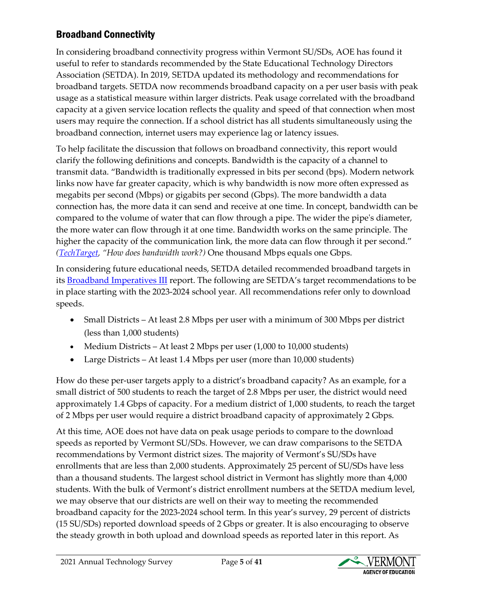# <span id="page-4-0"></span>Broadband Connectivity

In considering broadband connectivity progress within Vermont SU/SDs, AOE has found it useful to refer to standards recommended by the State Educational Technology Directors Association (SETDA). In 2019, SETDA updated its methodology and recommendations for broadband targets. SETDA now recommends broadband capacity on a per user basis with peak usage as a statistical measure within larger districts. Peak usage correlated with the broadband capacity at a given service location reflects the quality and speed of that connection when most users may require the connection. If a school district has all students simultaneously using the broadband connection, internet users may experience lag or latency issues.

To help facilitate the discussion that follows on broadband connectivity, this report would clarify the following definitions and concepts. Bandwidth is the capacity of a channel to transmit data. "Bandwidth is traditionally expressed in bits per second (bps). Modern network links now have far greater capacity, which is why bandwidth is now more often expressed as megabits per second (Mbps) or gigabits per second (Gbps). The more bandwidth a data connection has, the more data it can send and receive at one time. In concept, bandwidth can be compared to the volume of water that can flow through a pipe. The wider the pipe's diameter, the more water can flow through it at one time. Bandwidth works on the same principle. The higher the capacity of the communication link, the more data can flow through it per second." *[\(TechTarget,](https://techtarget.com/searchnetworking/definition/bandwidth#:%7E:text=Network%20bandwidth%20is%20a%20measurement%20indicating%20the%20maximum,gigabits%20that%20can%20be%20transmitted%20in%201%20second.) "How does bandwidth work?)* One thousand Mbps equals one Gbps.

In considering future educational needs, SETDA detailed recommended broadband targets in its **Broadband Imperatives III** report. The following are SETDA's target recommendations to be in place starting with the 2023-2024 school year. All recommendations refer only to download speeds.

- Small Districts At least 2.8 Mbps per user with a minimum of 300 Mbps per district (less than 1,000 students)
- Medium Districts At least 2 Mbps per user (1,000 to 10,000 students)
- Large Districts At least 1.4 Mbps per user (more than 10,000 students)

How do these per-user targets apply to a district's broadband capacity? As an example, for a small district of 500 students to reach the target of 2.8 Mbps per user, the district would need approximately 1.4 Gbps of capacity. For a medium district of 1,000 students, to reach the target of 2 Mbps per user would require a district broadband capacity of approximately 2 Gbps.

At this time, AOE does not have data on peak usage periods to compare to the download speeds as reported by Vermont SU/SDs. However, we can draw comparisons to the SETDA recommendations by Vermont district sizes. The majority of Vermont's SU/SDs have enrollments that are less than 2,000 students. Approximately 25 percent of SU/SDs have less than a thousand students. The largest school district in Vermont has slightly more than 4,000 students. With the bulk of Vermont's district enrollment numbers at the SETDA medium level, we may observe that our districts are well on their way to meeting the recommended broadband capacity for the 2023-2024 school term. In this year's survey, 29 percent of districts (15 SU/SDs) reported download speeds of 2 Gbps or greater. It is also encouraging to observe the steady growth in both upload and download speeds as reported later in this report. As

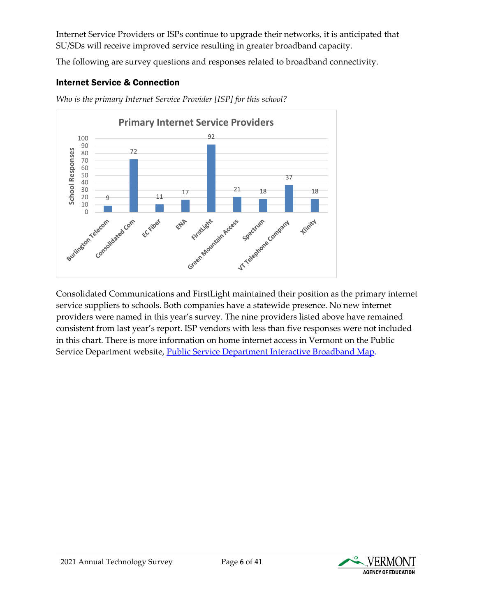Internet Service Providers or ISPs continue to upgrade their networks, it is anticipated that SU/SDs will receive improved service resulting in greater broadband capacity.

The following are survey questions and responses related to broadband connectivity.

#### <span id="page-5-0"></span>Internet Service & Connection



*Who is the primary Internet Service Provider [ISP] for this school?*

Consolidated Communications and FirstLight maintained their position as the primary internet service suppliers to schools. Both companies have a statewide presence. No new internet providers were named in this year's survey. The nine providers listed above have remained consistent from last year's report. ISP vendors with less than five responses were not included in this chart. There is more information on home internet access in Vermont on the Public Service Department website, [Public Service Department Interactive Broadband Map.](https://publicservice.vermont.gov/content/interactive-broadband-map)

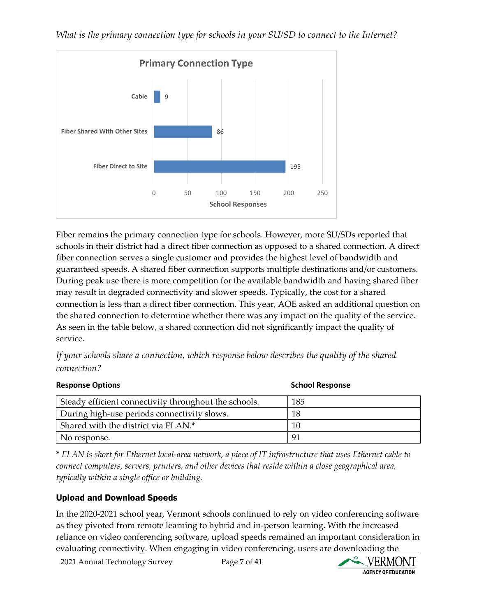

Fiber remains the primary connection type for schools. However, more SU/SDs reported that schools in their district had a direct fiber connection as opposed to a shared connection. A direct fiber connection serves a single customer and provides the highest level of bandwidth and guaranteed speeds. A shared fiber connection supports multiple destinations and/or customers. During peak use there is more competition for the available bandwidth and having shared fiber may result in degraded connectivity and slower speeds. Typically, the cost for a shared connection is less than a direct fiber connection. This year, AOE asked an additional question on the shared connection to determine whether there was any impact on the quality of the service. As seen in the table below, a shared connection did not significantly impact the quality of service.

*If your schools share a connection, which response below describes the quality of the shared connection?*

| <b>Response Options</b>                               | <b>School Response</b> |
|-------------------------------------------------------|------------------------|
| Steady efficient connectivity throughout the schools. | 185                    |
| During high-use periods connectivity slows.           | 18                     |
| Shared with the district via ELAN.*                   | 10                     |
| No response.                                          | -91                    |

\* *ELAN is short for Ethernet local-area network, a piece of IT infrastructure that uses Ethernet cable to connect computers, servers, printers, and other devices that reside within a close geographical area, typically within a single office or building.*

### Upload and Download Speeds

In the 2020-2021 school year, Vermont schools continued to rely on video conferencing software as they pivoted from remote learning to hybrid and in-person learning. With the increased reliance on video conferencing software, upload speeds remained an important consideration in evaluating connectivity. When engaging in video conferencing, users are downloading the

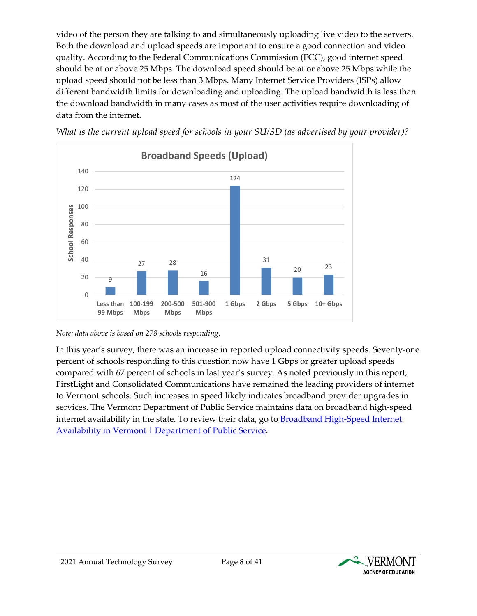video of the person they are talking to and simultaneously uploading live video to the servers. Both the download and upload speeds are important to ensure a good connection and video quality. According to the Federal Communications Commission (FCC), good internet speed should be at or above 25 Mbps. The download speed should be at or above 25 Mbps while the upload speed should not be less than 3 Mbps. Many Internet Service Providers (ISPs) allow different bandwidth limits for downloading and uploading. The upload bandwidth is less than the download bandwidth in many cases as most of the user activities require downloading of data from the internet.



*What is the current upload speed for schools in your SU/SD (as advertised by your provider)?*

In this year's survey, there was an increase in reported upload connectivity speeds. Seventy-one percent of schools responding to this question now have 1 Gbps or greater upload speeds compared with 67 percent of schools in last year's survey. As noted previously in this report, FirstLight and Consolidated Communications have remained the leading providers of internet to Vermont schools. Such increases in speed likely indicates broadband provider upgrades in services. The Vermont Department of Public Service maintains data on broadband high-speed internet availability in the state. To review their data, go to Broadband High-Speed Internet [Availability in Vermont | Department of Public Service.](https://publicservice.vermont.gov/content/broadband-availability)



*Note: data above is based on 278 schools responding.*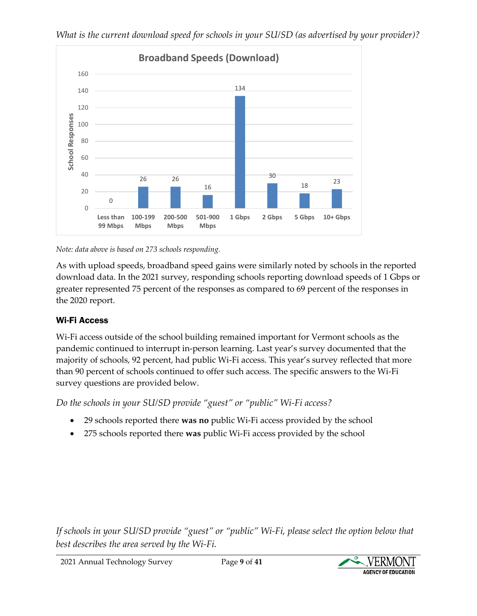

*Note: data above is based on 273 schools responding.*

As with upload speeds, broadband speed gains were similarly noted by schools in the reported download data. In the 2021 survey, responding schools reporting download speeds of 1 Gbps or greater represented 75 percent of the responses as compared to 69 percent of the responses in the 2020 report.

### <span id="page-8-0"></span>Wi-Fi Access

Wi-Fi access outside of the school building remained important for Vermont schools as the pandemic continued to interrupt in-person learning. Last year's survey documented that the majority of schools, 92 percent, had public Wi-Fi access. This year's survey reflected that more than 90 percent of schools continued to offer such access. The specific answers to the Wi-Fi survey questions are provided below.

*Do the schools in your SU/SD provide "guest" or "public" Wi-Fi access?* 

- 29 schools reported there **was no** public Wi-Fi access provided by the school
- 275 schools reported there **was** public Wi-Fi access provided by the school

*If schools in your SU/SD provide "guest" or "public" Wi-Fi, please select the option below that best describes the area served by the Wi-Fi.*

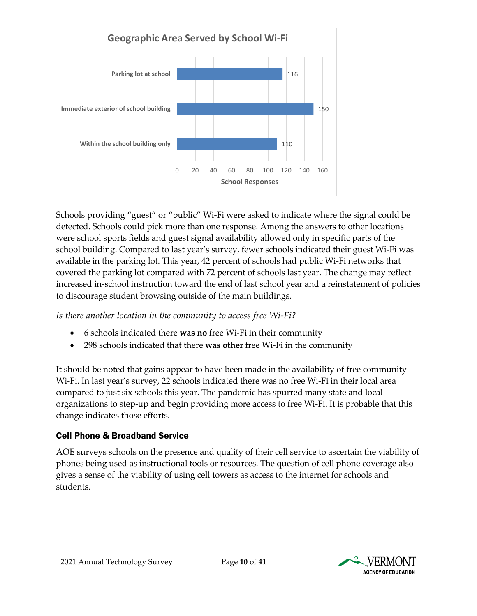

Schools providing "guest" or "public" Wi-Fi were asked to indicate where the signal could be detected. Schools could pick more than one response. Among the answers to other locations were school sports fields and guest signal availability allowed only in specific parts of the school building. Compared to last year's survey, fewer schools indicated their guest Wi-Fi was available in the parking lot. This year, 42 percent of schools had public Wi-Fi networks that covered the parking lot compared with 72 percent of schools last year. The change may reflect increased in-school instruction toward the end of last school year and a reinstatement of policies to discourage student browsing outside of the main buildings.

*Is there another location in the community to access free Wi-Fi?*

- 6 schools indicated there **was no** free Wi-Fi in their community
- 298 schools indicated that there **was other** free Wi-Fi in the community

It should be noted that gains appear to have been made in the availability of free community Wi-Fi. In last year's survey, 22 schools indicated there was no free Wi-Fi in their local area compared to just six schools this year. The pandemic has spurred many state and local organizations to step-up and begin providing more access to free Wi-Fi. It is probable that this change indicates those efforts.

# <span id="page-9-0"></span>Cell Phone & Broadband Service

AOE surveys schools on the presence and quality of their cell service to ascertain the viability of phones being used as instructional tools or resources. The question of cell phone coverage also gives a sense of the viability of using cell towers as access to the internet for schools and students.

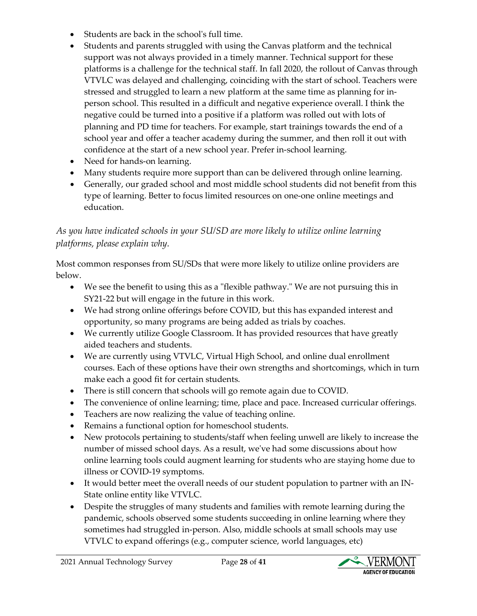- Students are back in the school's full time.
- Students and parents struggled with using the Canvas platform and the technical support was not always provided in a timely manner. Technical support for these platforms is a challenge for the technical staff. In fall 2020, the rollout of Canvas through VTVLC was delayed and challenging, coinciding with the start of school. Teachers were stressed and struggled to learn a new platform at the same time as planning for inperson school. This resulted in a difficult and negative experience overall. I think the negative could be turned into a positive if a platform was rolled out with lots of planning and PD time for teachers. For example, start trainings towards the end of a school year and offer a teacher academy during the summer, and then roll it out with confidence at the start of a new school year. Prefer in-school learning.
- Need for hands-on learning.
- Many students require more support than can be delivered through online learning.
- Generally, our graded school and most middle school students did not benefit from this type of learning. Better to focus limited resources on one-one online meetings and education.

# *As you have indicated schools in your SU/SD are more likely to utilize online learning platforms, please explain why.*

Most common responses from SU/SDs that were more likely to utilize online providers are below.

- We see the benefit to using this as a "flexible pathway." We are not pursuing this in SY21-22 but will engage in the future in this work.
- We had strong online offerings before COVID, but this has expanded interest and opportunity, so many programs are being added as trials by coaches.
- We currently utilize Google Classroom. It has provided resources that have greatly aided teachers and students.
- We are currently using VTVLC, Virtual High School, and online dual enrollment courses. Each of these options have their own strengths and shortcomings, which in turn make each a good fit for certain students.
- There is still concern that schools will go remote again due to COVID.
- The convenience of online learning; time, place and pace. Increased curricular offerings.
- Teachers are now realizing the value of teaching online.
- Remains a functional option for homeschool students.
- New protocols pertaining to students/staff when feeling unwell are likely to increase the number of missed school days. As a result, we've had some discussions about how online learning tools could augment learning for students who are staying home due to illness or COVID-19 symptoms.
- It would better meet the overall needs of our student population to partner with an IN-State online entity like VTVLC.
- Despite the struggles of many students and families with remote learning during the pandemic, schools observed some students succeeding in online learning where they sometimes had struggled in-person. Also, middle schools at small schools may use VTVLC to expand offerings (e.g., computer science, world languages, etc)

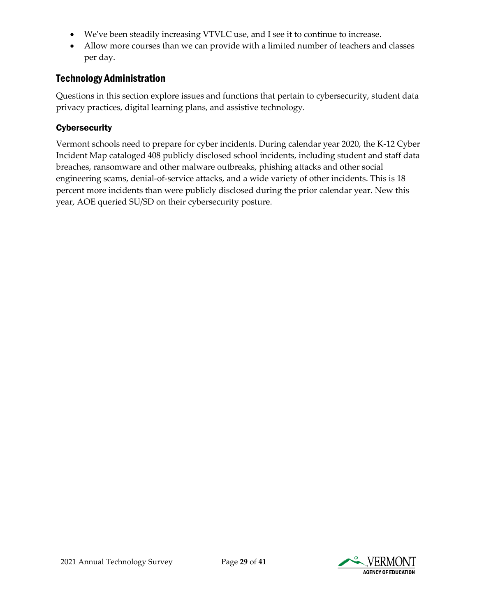- We've been steadily increasing VTVLC use, and I see it to continue to increase.
- Allow more courses than we can provide with a limited number of teachers and classes per day.

# <span id="page-28-0"></span>Technology Administration

Questions in this section explore issues and functions that pertain to cybersecurity, student data privacy practices, digital learning plans, and assistive technology.

### <span id="page-28-1"></span>**Cybersecurity**

Vermont schools need to prepare for cyber incidents. During calendar year 2020, the K-12 Cyber Incident Map cataloged 408 publicly disclosed school incidents, including student and staff data breaches, ransomware and other malware outbreaks, phishing attacks and other social engineering scams, denial-of-service attacks, and a wide variety of other incidents. This is 18 percent more incidents than were publicly disclosed during the prior calendar year. New this year, AOE queried SU/SD on their cybersecurity posture.

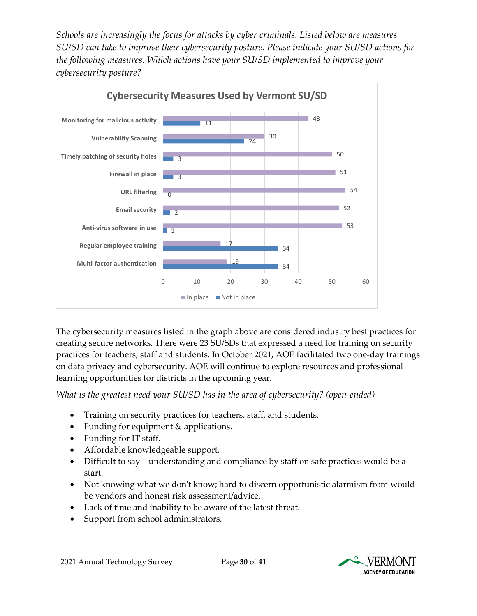*Schools are increasingly the focus for attacks by cyber criminals. Listed below are measures SU/SD can take to improve their cybersecurity posture. Please indicate your SU/SD actions for the following measures. Which actions have your SU/SD implemented to improve your cybersecurity posture?*



The cybersecurity measures listed in the graph above are considered industry best practices for creating secure networks. There were 23 SU/SDs that expressed a need for training on security practices for teachers, staff and students. In October 2021, AOE facilitated two one-day trainings on data privacy and cybersecurity. AOE will continue to explore resources and professional learning opportunities for districts in the upcoming year.

*What is the greatest need your SU/SD has in the area of cybersecurity? (open-ended)* 

- Training on security practices for teachers, staff, and students.
- Funding for equipment & applications.
- Funding for IT staff.
- Affordable knowledgeable support.
- Difficult to say understanding and compliance by staff on safe practices would be a start.
- Not knowing what we don't know; hard to discern opportunistic alarmism from wouldbe vendors and honest risk assessment/advice.
- Lack of time and inability to be aware of the latest threat.
- Support from school administrators.

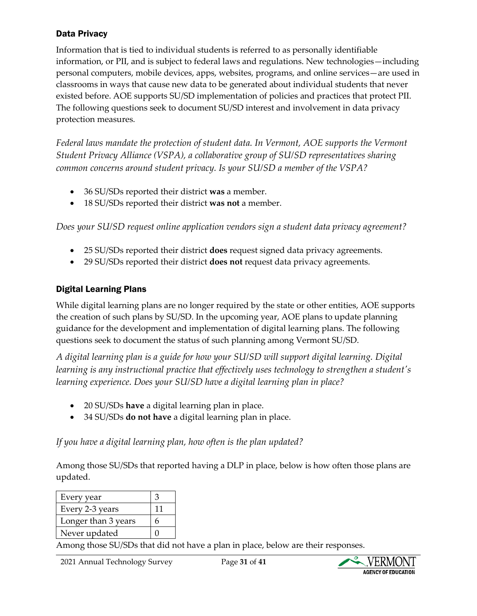#### <span id="page-30-0"></span>Data Privacy

Information that is tied to individual students is referred to as personally identifiable information, or PII, and is subject to federal laws and regulations. New technologies—including personal computers, mobile devices, apps, websites, programs, and online services—are used in classrooms in ways that cause new data to be generated about individual students that never existed before. AOE supports SU/SD implementation of policies and practices that protect PII. The following questions seek to document SU/SD interest and involvement in data privacy protection measures.

*Federal laws mandate the protection of student data. In Vermont, AOE supports the Vermont Student Privacy Alliance (VSPA), a collaborative group of SU/SD representatives sharing common concerns around student privacy. Is your SU/SD a member of the VSPA?*

- 36 SU/SDs reported their district **was** a member.
- 18 SU/SDs reported their district **was not** a member.

*Does your SU/SD request online application vendors sign a student data privacy agreement?*

- 25 SU/SDs reported their district **does** request signed data privacy agreements.
- 29 SU/SDs reported their district **does not** request data privacy agreements.

# <span id="page-30-1"></span>Digital Learning Plans

While digital learning plans are no longer required by the state or other entities, AOE supports the creation of such plans by SU/SD. In the upcoming year, AOE plans to update planning guidance for the development and implementation of digital learning plans. The following questions seek to document the status of such planning among Vermont SU/SD.

*A digital learning plan is a guide for how your SU/SD will support digital learning. Digital learning is any instructional practice that effectively uses technology to strengthen a student's learning experience. Does your SU/SD have a digital learning plan in place?*

- 20 SU/SDs **have** a digital learning plan in place.
- 34 SU/SDs **do not have** a digital learning plan in place.

*If you have a digital learning plan, how often is the plan updated?* 

Among those SU/SDs that reported having a DLP in place, below is how often those plans are updated.

| Every year          |    |
|---------------------|----|
| Every 2-3 years     | 11 |
| Longer than 3 years | h  |
| Never updated       |    |

Among those SU/SDs that did not have a plan in place, below are their responses.

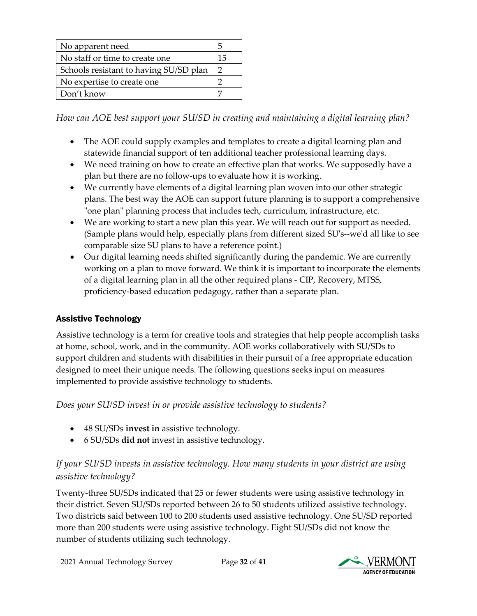| No apparent need                       | 5  |
|----------------------------------------|----|
| No staff or time to create one         | 15 |
| Schools resistant to having SU/SD plan |    |
| No expertise to create one             |    |
| Don't know                             |    |

*How can AOE best support your SU/SD in creating and maintaining a digital learning plan?*

- The AOE could supply examples and templates to create a digital learning plan and statewide financial support of ten additional teacher professional learning days.
- We need training on how to create an effective plan that works. We supposedly have a plan but there are no follow-ups to evaluate how it is working.
- We currently have elements of a digital learning plan woven into our other strategic plans. The best way the AOE can support future planning is to support a comprehensive "one plan" planning process that includes tech, curriculum, infrastructure, etc.
- We are working to start a new plan this year. We will reach out for support as needed. (Sample plans would help, especially plans from different sized SU's--we'd all like to see comparable size SU plans to have a reference point.)
- Our digital learning needs shifted significantly during the pandemic. We are currently working on a plan to move forward. We think it is important to incorporate the elements of a digital learning plan in all the other required plans - CIP, Recovery, MTSS, proficiency-based education pedagogy, rather than a separate plan.

# <span id="page-31-0"></span>Assistive Technology

Assistive technology is a term for creative tools and strategies that help people accomplish tasks at home, school, work, and in the community. AOE works collaboratively with SU/SDs to support children and students with disabilities in their pursuit of a free appropriate education designed to meet their unique needs. The following questions seeks input on measures implemented to provide assistive technology to students.

# *Does your SU/SD invest in or provide assistive technology to students?*

- 48 SU/SDs **invest in** assistive technology.
- 6 SU/SDs **did not** invest in assistive technology.

# *If your SU/SD invests in assistive technology. How many students in your district are using assistive technology?*

Twenty-three SU/SDs indicated that 25 or fewer students were using assistive technology in their district. Seven SU/SDs reported between 26 to 50 students utilized assistive technology. Two districts said between 100 to 200 students used assistive technology. One SU/SD reported more than 200 students were using assistive technology. Eight SU/SDs did not know the number of students utilizing such technology.

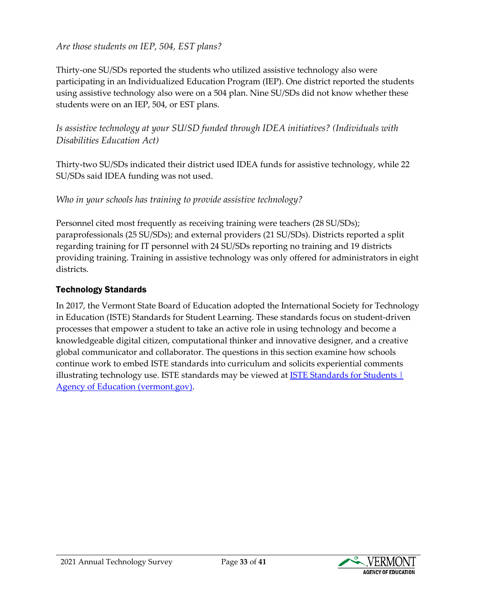#### *Are those students on IEP, 504, EST plans?*

Thirty-one SU/SDs reported the students who utilized assistive technology also were participating in an Individualized Education Program (IEP). One district reported the students using assistive technology also were on a 504 plan. Nine SU/SDs did not know whether these students were on an IEP, 504, or EST plans.

*Is assistive technology at your SU/SD funded through IDEA initiatives? (Individuals with Disabilities Education Act)* 

Thirty-two SU/SDs indicated their district used IDEA funds for assistive technology, while 22 SU/SDs said IDEA funding was not used.

### *Who in your schools has training to provide assistive technology?*

Personnel cited most frequently as receiving training were teachers (28 SU/SDs); paraprofessionals (25 SU/SDs); and external providers (21 SU/SDs). Districts reported a split regarding training for IT personnel with 24 SU/SDs reporting no training and 19 districts providing training. Training in assistive technology was only offered for administrators in eight districts.

### <span id="page-32-0"></span>Technology Standards

In 2017, the Vermont State Board of Education adopted the International Society for Technology in Education (ISTE) Standards for Student Learning. These standards focus on student-driven processes that empower a student to take an active role in using technology and become a knowledgeable digital citizen, computational thinker and innovative designer, and a creative global communicator and collaborator. The questions in this section examine how schools continue work to embed ISTE standards into curriculum and solicits experiential comments illustrating technology use. ISTE standards may be viewed at **ISTE Standards for Students** | [Agency of Education \(vermont.gov\).](https://education.vermont.gov/documents/iste-standards-for-students)



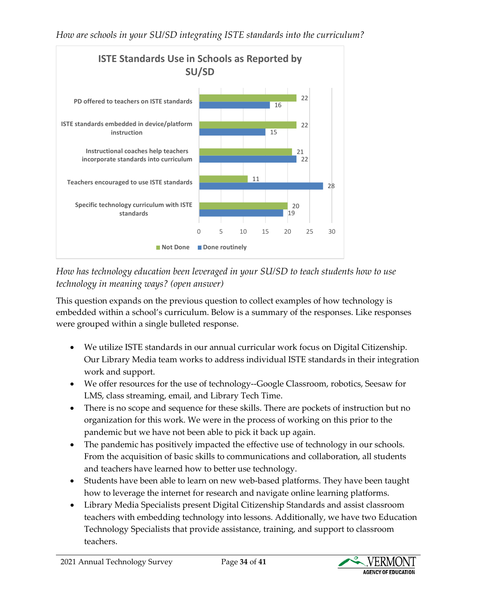

*How has technology education been leveraged in your SU/SD to teach students how to use technology in meaning ways? (open answer)*

This question expands on the previous question to collect examples of how technology is embedded within a school's curriculum. Below is a summary of the responses. Like responses were grouped within a single bulleted response.

- We utilize ISTE standards in our annual curricular work focus on Digital Citizenship. Our Library Media team works to address individual ISTE standards in their integration work and support.
- We offer resources for the use of technology--Google Classroom, robotics, Seesaw for LMS, class streaming, email, and Library Tech Time.
- There is no scope and sequence for these skills. There are pockets of instruction but no organization for this work. We were in the process of working on this prior to the pandemic but we have not been able to pick it back up again.
- The pandemic has positively impacted the effective use of technology in our schools. From the acquisition of basic skills to communications and collaboration, all students and teachers have learned how to better use technology.
- Students have been able to learn on new web-based platforms. They have been taught how to leverage the internet for research and navigate online learning platforms.
- Library Media Specialists present Digital Citizenship Standards and assist classroom teachers with embedding technology into lessons. Additionally, we have two Education Technology Specialists that provide assistance, training, and support to classroom teachers.

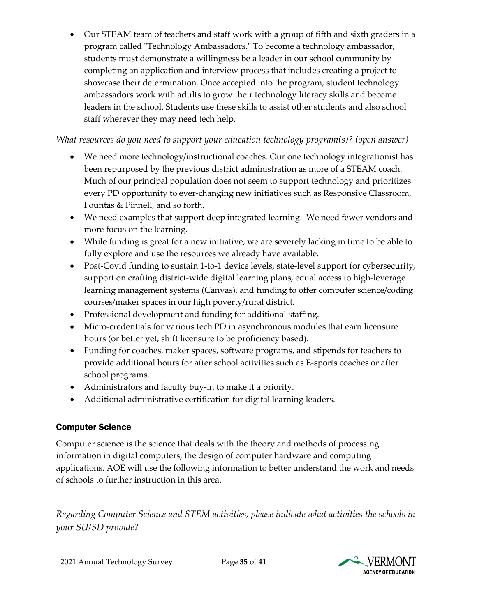• Our STEAM team of teachers and staff work with a group of fifth and sixth graders in a program called "Technology Ambassadors." To become a technology ambassador, students must demonstrate a willingness be a leader in our school community by completing an application and interview process that includes creating a project to showcase their determination. Once accepted into the program, student technology ambassadors work with adults to grow their technology literacy skills and become leaders in the school. Students use these skills to assist other students and also school staff wherever they may need tech help.

*What resources do you need to support your education technology program(s)? (open answer)*

- We need more technology/instructional coaches. Our one technology integrationist has been repurposed by the previous district administration as more of a STEAM coach. Much of our principal population does not seem to support technology and prioritizes every PD opportunity to ever-changing new initiatives such as Responsive Classroom, Fountas & Pinnell, and so forth.
- We need examples that support deep integrated learning. We need fewer vendors and more focus on the learning.
- While funding is great for a new initiative, we are severely lacking in time to be able to fully explore and use the resources we already have available.
- Post-Covid funding to sustain 1-to-1 device levels, state-level support for cybersecurity, support on crafting district-wide digital learning plans, equal access to high-leverage learning management systems (Canvas), and funding to offer computer science/coding courses/maker spaces in our high poverty/rural district.
- Professional development and funding for additional staffing.
- Micro-credentials for various tech PD in asynchronous modules that earn licensure hours (or better yet, shift licensure to be proficiency based).
- Funding for coaches, maker spaces, software programs, and stipends for teachers to provide additional hours for after school activities such as E-sports coaches or after school programs.
- Administrators and faculty buy-in to make it a priority.
- Additional administrative certification for digital learning leaders.

# <span id="page-34-0"></span>Computer Science

Computer science is the science that deals with the theory and methods of processing information in digital computers, the design of computer hardware and computing applications. AOE will use the following information to better understand the work and needs of schools to further instruction in this area.

*Regarding Computer Science and STEM activities, please indicate what activities the schools in your SU/SD provide?* 

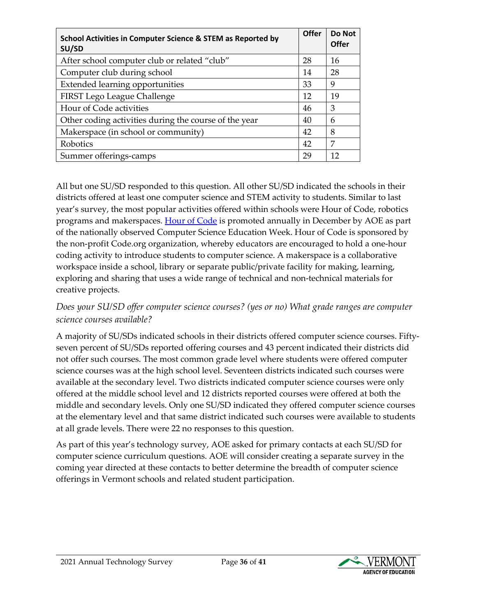| School Activities in Computer Science & STEM as Reported by<br>SU/SD | <b>Offer</b> | Do Not<br>Offer |
|----------------------------------------------------------------------|--------------|-----------------|
| After school computer club or related "club"                         | 28           | 16              |
| Computer club during school                                          | 14           | 28              |
| <b>Extended learning opportunities</b>                               | 33           | 9               |
| FIRST Lego League Challenge                                          | 12           | 19              |
| Hour of Code activities                                              | 46           | 3               |
| Other coding activities during the course of the year                | 40           | 6               |
| Makerspace (in school or community)                                  | 42           | 8               |
| Robotics                                                             | 42           | 7               |
| Summer offerings-camps                                               | 29           | 12              |

All but one SU/SD responded to this question. All other SU/SD indicated the schools in their districts offered at least one computer science and STEM activity to students. Similar to last year's survey, the most popular activities offered within schools were Hour of Code, robotics programs and makerspaces. [Hour of Code](https://hourofcode.com/us) is promoted annually in December by AOE as part of the nationally observed Computer Science Education Week. Hour of Code is sponsored by the non-profit Code.org organization, whereby educators are encouraged to hold a one-hour coding activity to introduce students to computer science. A makerspace is a collaborative workspace inside a school, library or separate public/private facility for making, learning, exploring and sharing that uses a wide range of technical and non-technical materials for creative projects.

### *Does your SU/SD offer computer science courses? (yes or no) What grade ranges are computer science courses available?*

A majority of SU/SDs indicated schools in their districts offered computer science courses. Fiftyseven percent of SU/SDs reported offering courses and 43 percent indicated their districts did not offer such courses. The most common grade level where students were offered computer science courses was at the high school level. Seventeen districts indicated such courses were available at the secondary level. Two districts indicated computer science courses were only offered at the middle school level and 12 districts reported courses were offered at both the middle and secondary levels. Only one SU/SD indicated they offered computer science courses at the elementary level and that same district indicated such courses were available to students at all grade levels. There were 22 no responses to this question.

As part of this year's technology survey, AOE asked for primary contacts at each SU/SD for computer science curriculum questions. AOE will consider creating a separate survey in the coming year directed at these contacts to better determine the breadth of computer science offerings in Vermont schools and related student participation.

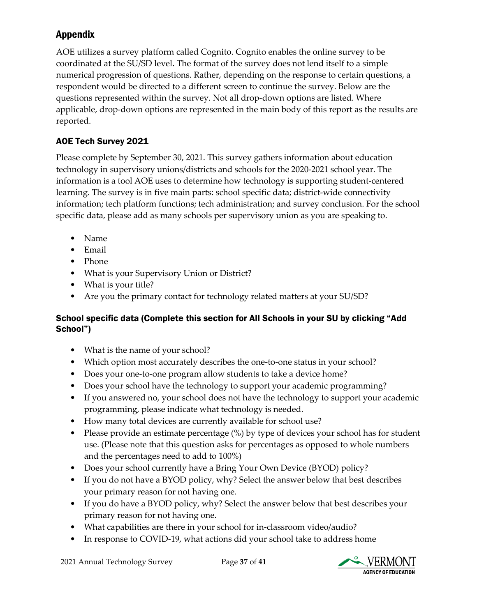# <span id="page-36-0"></span>Appendix

AOE utilizes a survey platform called Cognito. Cognito enables the online survey to be coordinated at the SU/SD level. The format of the survey does not lend itself to a simple numerical progression of questions. Rather, depending on the response to certain questions, a respondent would be directed to a different screen to continue the survey. Below are the questions represented within the survey. Not all drop-down options are listed. Where applicable, drop-down options are represented in the main body of this report as the results are reported.

# AOE Tech Survey 2021

Please complete by September 30, 2021. This survey gathers information about education technology in supervisory unions/districts and schools for the 2020-2021 school year. The information is a tool AOE uses to determine how technology is supporting student-centered learning. The survey is in five main parts: school specific data; district-wide connectivity information; tech platform functions; tech administration; and survey conclusion. For the school specific data, please add as many schools per supervisory union as you are speaking to.

- Name
- Email
- Phone
- What is your Supervisory Union or District?
- What is your title?
- Are you the primary contact for technology related matters at your SU/SD?

#### School specific data (Complete this section for All Schools in your SU by clicking "Add School")

- What is the name of your school?
- Which option most accurately describes the one-to-one status in your school?
- Does your one-to-one program allow students to take a device home?
- Does your school have the technology to support your academic programming?
- If you answered no, your school does not have the technology to support your academic programming, please indicate what technology is needed.
- How many total devices are currently available for school use?
- Please provide an estimate percentage (%) by type of devices your school has for student use. (Please note that this question asks for percentages as opposed to whole numbers and the percentages need to add to 100%)
- Does your school currently have a Bring Your Own Device (BYOD) policy?
- If you do not have a BYOD policy, why? Select the answer below that best describes your primary reason for not having one.
- If you do have a BYOD policy, why? Select the answer below that best describes your primary reason for not having one.
- What capabilities are there in your school for in-classroom video/audio?
- In response to COVID-19, what actions did your school take to address home

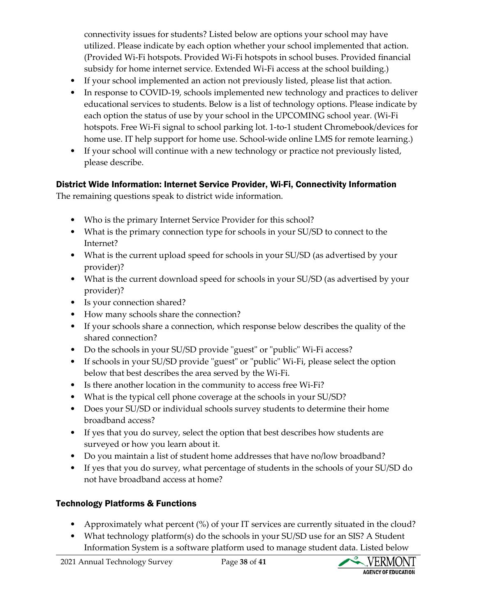connectivity issues for students? Listed below are options your school may have utilized. Please indicate by each option whether your school implemented that action. (Provided Wi-Fi hotspots. Provided Wi-Fi hotspots in school buses. Provided financial subsidy for home internet service. Extended Wi-Fi access at the school building.)

- If your school implemented an action not previously listed, please list that action.
- In response to COVID-19, schools implemented new technology and practices to deliver educational services to students. Below is a list of technology options. Please indicate by each option the status of use by your school in the UPCOMING school year. (Wi-Fi hotspots. Free Wi-Fi signal to school parking lot. 1-to-1 student Chromebook/devices for home use. IT help support for home use. School-wide online LMS for remote learning.)
- If your school will continue with a new technology or practice not previously listed, please describe.

#### District Wide Information: Internet Service Provider, Wi-Fi, Connectivity Information

The remaining questions speak to district wide information.

- Who is the primary Internet Service Provider for this school?
- What is the primary connection type for schools in your SU/SD to connect to the Internet?
- What is the current upload speed for schools in your SU/SD (as advertised by your provider)?
- What is the current download speed for schools in your SU/SD (as advertised by your provider)?
- Is your connection shared?
- How many schools share the connection?
- If your schools share a connection, which response below describes the quality of the shared connection?
- Do the schools in your SU/SD provide "guest" or "public" Wi-Fi access?
- If schools in your SU/SD provide "guest" or "public" Wi-Fi, please select the option below that best describes the area served by the Wi-Fi.
- Is there another location in the community to access free Wi-Fi?
- What is the typical cell phone coverage at the schools in your SU/SD?
- Does your SU/SD or individual schools survey students to determine their home broadband access?
- If yes that you do survey, select the option that best describes how students are surveyed or how you learn about it.
- Do you maintain a list of student home addresses that have no/low broadband?
- If yes that you do survey, what percentage of students in the schools of your SU/SD do not have broadband access at home?

# Technology Platforms & Functions

- Approximately what percent (%) of your IT services are currently situated in the cloud?
- What technology platform(s) do the schools in your SU/SD use for an SIS? A Student Information System is a software platform used to manage student data. Listed below

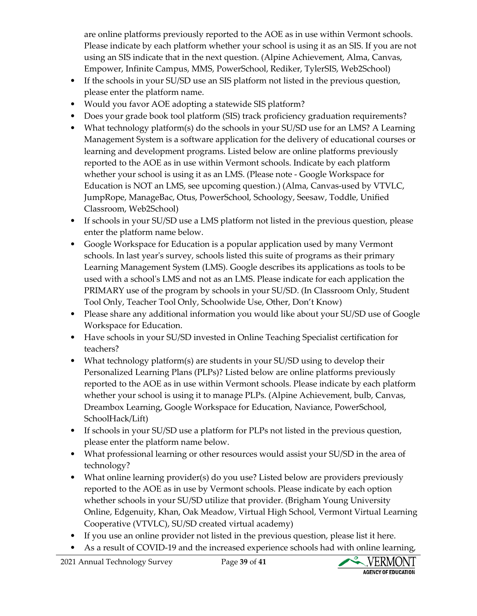are online platforms previously reported to the AOE as in use within Vermont schools. Please indicate by each platform whether your school is using it as an SIS. If you are not using an SIS indicate that in the next question. (Alpine Achievement, Alma, Canvas, Empower, Infinite Campus, MMS, PowerSchool, Rediker, TylerSIS, Web2School)

- If the schools in your SU/SD use an SIS platform not listed in the previous question, please enter the platform name.
- Would you favor AOE adopting a statewide SIS platform?
- Does your grade book tool platform (SIS) track proficiency graduation requirements?
- What technology platform(s) do the schools in your SU/SD use for an LMS? A Learning Management System is a software application for the delivery of educational courses or learning and development programs. Listed below are online platforms previously reported to the AOE as in use within Vermont schools. Indicate by each platform whether your school is using it as an LMS. (Please note - Google Workspace for Education is NOT an LMS, see upcoming question.) (Alma, Canvas-used by VTVLC, JumpRope, ManageBac, Otus, PowerSchool, Schoology, Seesaw, Toddle, Unified Classroom, Web2School)
- If schools in your SU/SD use a LMS platform not listed in the previous question, please enter the platform name below.
- Google Workspace for Education is a popular application used by many Vermont schools. In last year's survey, schools listed this suite of programs as their primary Learning Management System (LMS). Google describes its applications as tools to be used with a school's LMS and not as an LMS. Please indicate for each application the PRIMARY use of the program by schools in your SU/SD. (In Classroom Only, Student Tool Only, Teacher Tool Only, Schoolwide Use, Other, Don't Know)
- Please share any additional information you would like about your SU/SD use of Google Workspace for Education.
- Have schools in your SU/SD invested in Online Teaching Specialist certification for teachers?
- What technology platform(s) are students in your SU/SD using to develop their Personalized Learning Plans (PLPs)? Listed below are online platforms previously reported to the AOE as in use within Vermont schools. Please indicate by each platform whether your school is using it to manage PLPs. (Alpine Achievement, bulb, Canvas, Dreambox Learning, Google Workspace for Education, Naviance, PowerSchool, SchoolHack/Lift)
- If schools in your SU/SD use a platform for PLPs not listed in the previous question, please enter the platform name below.
- What professional learning or other resources would assist your SU/SD in the area of technology?
- What online learning provider(s) do you use? Listed below are providers previously reported to the AOE as in use by Vermont schools. Please indicate by each option whether schools in your SU/SD utilize that provider. (Brigham Young University Online, Edgenuity, Khan, Oak Meadow, Virtual High School, Vermont Virtual Learning Cooperative (VTVLC), SU/SD created virtual academy)
- If you use an online provider not listed in the previous question, please list it here.
- As a result of COVID-19 and the increased experience schools had with online learning,

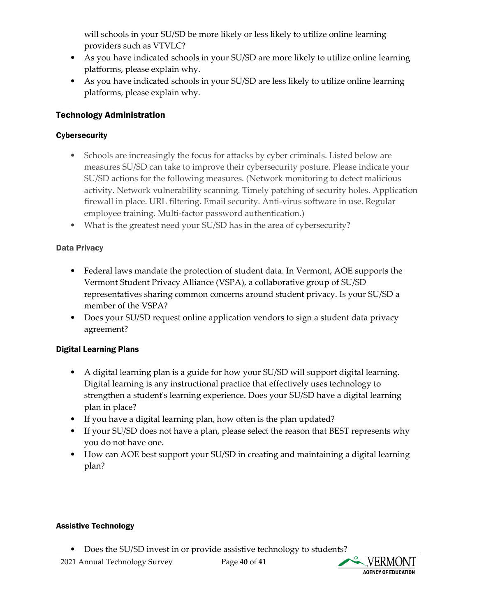will schools in your SU/SD be more likely or less likely to utilize online learning providers such as VTVLC?

- As you have indicated schools in your SU/SD are more likely to utilize online learning platforms, please explain why.
- As you have indicated schools in your SU/SD are less likely to utilize online learning platforms, please explain why.

#### Technology Administration

#### **Cybersecurity**

- Schools are increasingly the focus for attacks by cyber criminals. Listed below are measures SU/SD can take to improve their cybersecurity posture. Please indicate your SU/SD actions for the following measures. (Network monitoring to detect malicious activity. Network vulnerability scanning. Timely patching of security holes. Application firewall in place. URL filtering. Email security. Anti-virus software in use. Regular employee training. Multi-factor password authentication.)
- What is the greatest need your SU/SD has in the area of cybersecurity?

#### Data Privacy

- Federal laws mandate the protection of student data. In Vermont, AOE supports the Vermont Student Privacy Alliance (VSPA), a collaborative group of SU/SD representatives sharing common concerns around student privacy. Is your SU/SD a member of the VSPA?
- Does your SU/SD request online application vendors to sign a student data privacy agreement?

#### Digital Learning Plans

- A digital learning plan is a guide for how your SU/SD will support digital learning. Digital learning is any instructional practice that effectively uses technology to strengthen a student's learning experience. Does your SU/SD have a digital learning plan in place?
- If you have a digital learning plan, how often is the plan updated?
- If your SU/SD does not have a plan, please select the reason that BEST represents why you do not have one.
- How can AOE best support your SU/SD in creating and maintaining a digital learning plan?

#### Assistive Technology

• Does the SU/SD invest in or provide assistive technology to students?